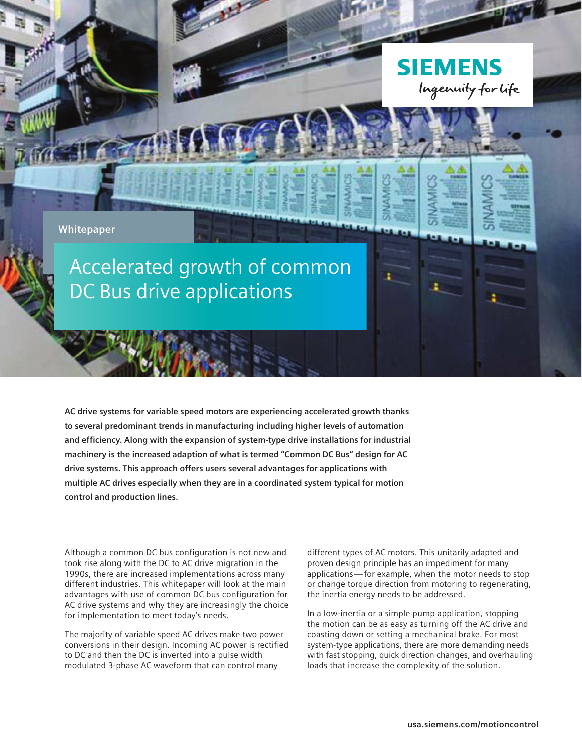

**AC drive systems for variable speed motors are experiencing accelerated growth thanks to several predominant trends in manufacturing including higher levels of automation and efficiency. Along with the expansion of system-type drive installations for industrial machinery is the increased adaption of what is termed "Common DC Bus" design for AC drive systems. This approach offers users several advantages for applications with multiple AC drives especially when they are in a coordinated system typical for motion control and production lines.** 

Although a common DC bus configuration is not new and took rise along with the DC to AC drive migration in the 1990s, there are increased implementations across many different industries. This whitepaper will look at the main advantages with use of common DC bus configuration for AC drive systems and why they are increasingly the choice for implementation to meet today's needs.

The majority of variable speed AC drives make two power conversions in their design. Incoming AC power is rectified to DC and then the DC is inverted into a pulse width modulated 3-phase AC waveform that can control many

different types of AC motors. This unitarily adapted and proven design principle has an impediment for many applications—for example, when the motor needs to stop or change torque direction from motoring to regenerating, the inertia energy needs to be addressed.

In a low-inertia or a simple pump application, stopping the motion can be as easy as turning off the AC drive and coasting down or setting a mechanical brake. For most system-type applications, there are more demanding needs with fast stopping, quick direction changes, and overhauling loads that increase the complexity of the solution.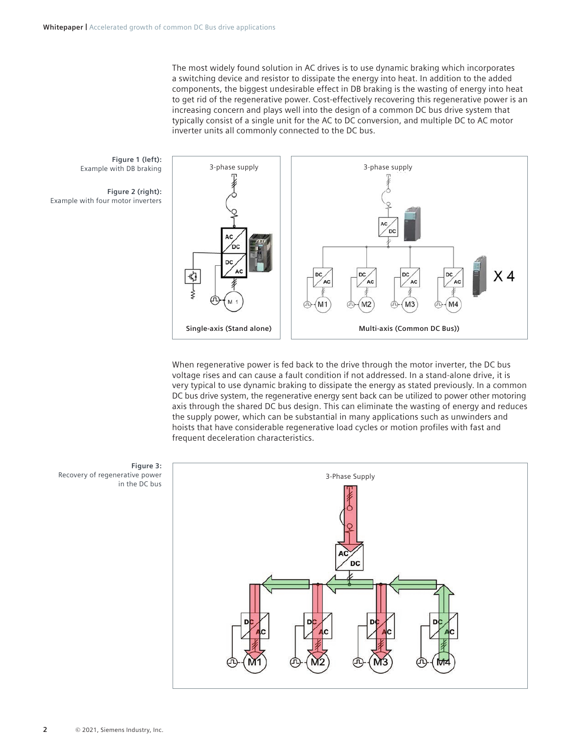The most widely found solution in AC drives is to use dynamic braking which incorporates a switching device and resistor to dissipate the energy into heat. In addition to the added components, the biggest undesirable effect in DB braking is the wasting of energy into heat to get rid of the regenerative power. Cost-effectively recovering this regenerative power is an increasing concern and plays well into the design of a common DC bus drive system that typically consist of a single unit for the AC to DC conversion, and multiple DC to AC motor inverter units all commonly connected to the DC bus.

**Figure 1 (left):** Example with DB braking

**Figure 2 (right):** Example with four motor inverters



When regenerative power is fed back to the drive through the motor inverter, the DC bus voltage rises and can cause a fault condition if not addressed. In a stand-alone drive, it is very typical to use dynamic braking to dissipate the energy as stated previously. In a common DC bus drive system, the regenerative energy sent back can be utilized to power other motoring axis through the shared DC bus design. This can eliminate the wasting of energy and reduces the supply power, which can be substantial in many applications such as unwinders and hoists that have considerable regenerative load cycles or motion profiles with fast and frequent deceleration characteristics.



**Figure 3:** Recovery of regenerative power in the DC bus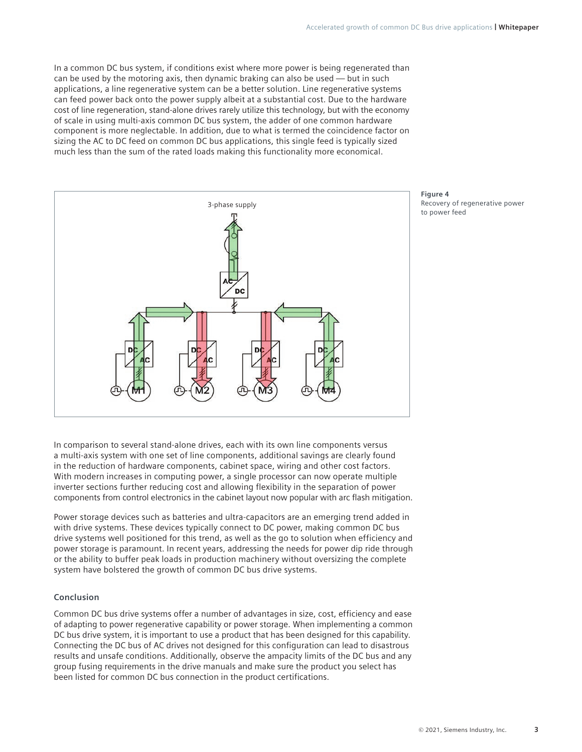In a common DC bus system, if conditions exist where more power is being regenerated than can be used by the motoring axis, then dynamic braking can also be used — but in such applications, a line regenerative system can be a better solution. Line regenerative systems can feed power back onto the power supply albeit at a substantial cost. Due to the hardware cost of line regeneration, stand-alone drives rarely utilize this technology, but with the economy of scale in using multi-axis common DC bus system, the adder of one common hardware component is more neglectable. In addition, due to what is termed the coincidence factor on sizing the AC to DC feed on common DC bus applications, this single feed is typically sized much less than the sum of the rated loads making this functionality more economical.



**Figure 4** Recovery of regenerative power to power feed

In comparison to several stand-alone drives, each with its own line components versus a multi-axis system with one set of line components, additional savings are clearly found in the reduction of hardware components, cabinet space, wiring and other cost factors. With modern increases in computing power, a single processor can now operate multiple inverter sections further reducing cost and allowing flexibility in the separation of power components from control electronics in the cabinet layout now popular with arc flash mitigation.

Power storage devices such as batteries and ultra-capacitors are an emerging trend added in with drive systems. These devices typically connect to DC power, making common DC bus drive systems well positioned for this trend, as well as the go to solution when efficiency and power storage is paramount. In recent years, addressing the needs for power dip ride through or the ability to buffer peak loads in production machinery without oversizing the complete system have bolstered the growth of common DC bus drive systems.

## **Conclusion**

Common DC bus drive systems offer a number of advantages in size, cost, efficiency and ease of adapting to power regenerative capability or power storage. When implementing a common DC bus drive system, it is important to use a product that has been designed for this capability. Connecting the DC bus of AC drives not designed for this configuration can lead to disastrous results and unsafe conditions. Additionally, observe the ampacity limits of the DC bus and any group fusing requirements in the drive manuals and make sure the product you select has been listed for common DC bus connection in the product certifications.